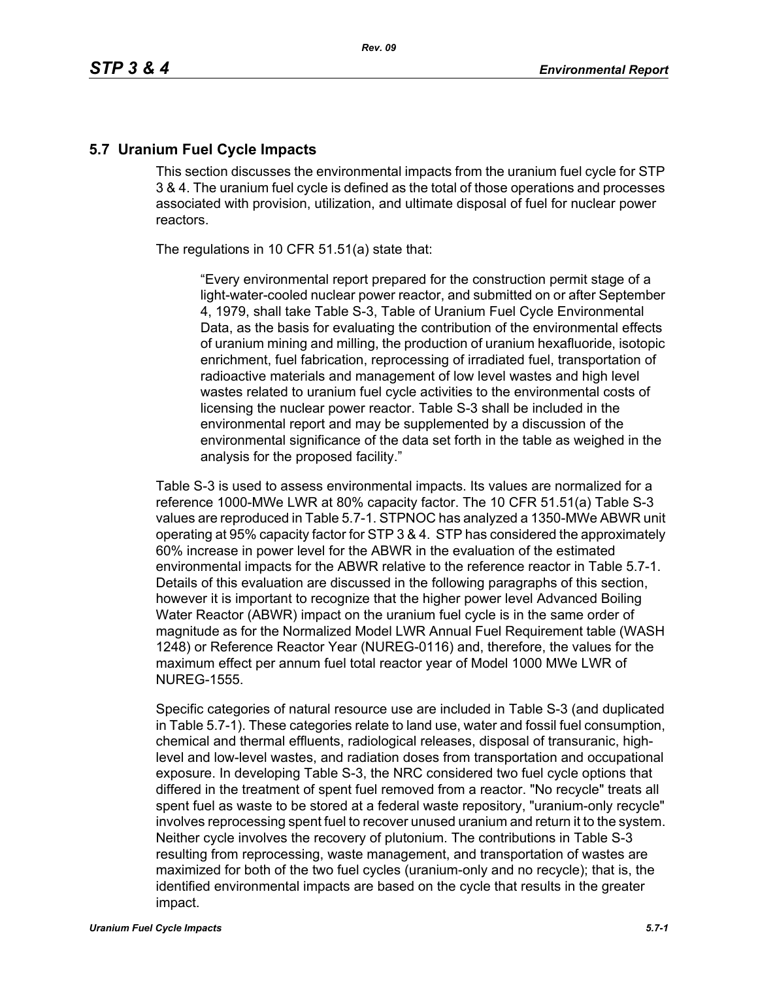### **5.7 Uranium Fuel Cycle Impacts**

This section discusses the environmental impacts from the uranium fuel cycle for STP 3 & 4. The uranium fuel cycle is defined as the total of those operations and processes associated with provision, utilization, and ultimate disposal of fuel for nuclear power reactors.

The regulations in 10 CFR 51.51(a) state that:

"Every environmental report prepared for the construction permit stage of a light-water-cooled nuclear power reactor, and submitted on or after September 4, 1979, shall take Table S-3, Table of Uranium Fuel Cycle Environmental Data, as the basis for evaluating the contribution of the environmental effects of uranium mining and milling, the production of uranium hexafluoride, isotopic enrichment, fuel fabrication, reprocessing of irradiated fuel, transportation of radioactive materials and management of low level wastes and high level wastes related to uranium fuel cycle activities to the environmental costs of licensing the nuclear power reactor. Table S-3 shall be included in the environmental report and may be supplemented by a discussion of the environmental significance of the data set forth in the table as weighed in the analysis for the proposed facility."

Table S-3 is used to assess environmental impacts. Its values are normalized for a reference 1000-MWe LWR at 80% capacity factor. The 10 CFR 51.51(a) Table S-3 values are reproduced in Table 5.7-1. STPNOC has analyzed a 1350-MWe ABWR unit operating at 95% capacity factor for STP 3 & 4. STP has considered the approximately 60% increase in power level for the ABWR in the evaluation of the estimated environmental impacts for the ABWR relative to the reference reactor in Table 5.7-1. Details of this evaluation are discussed in the following paragraphs of this section, however it is important to recognize that the higher power level Advanced Boiling Water Reactor (ABWR) impact on the uranium fuel cycle is in the same order of magnitude as for the Normalized Model LWR Annual Fuel Requirement table (WASH 1248) or Reference Reactor Year (NUREG-0116) and, therefore, the values for the maximum effect per annum fuel total reactor year of Model 1000 MWe LWR of NUREG-1555.

Specific categories of natural resource use are included in Table S-3 (and duplicated in Table 5.7-1). These categories relate to land use, water and fossil fuel consumption, chemical and thermal effluents, radiological releases, disposal of transuranic, highlevel and low-level wastes, and radiation doses from transportation and occupational exposure. In developing Table S-3, the NRC considered two fuel cycle options that differed in the treatment of spent fuel removed from a reactor. "No recycle" treats all spent fuel as waste to be stored at a federal waste repository, "uranium-only recycle" involves reprocessing spent fuel to recover unused uranium and return it to the system. Neither cycle involves the recovery of plutonium. The contributions in Table S-3 resulting from reprocessing, waste management, and transportation of wastes are maximized for both of the two fuel cycles (uranium-only and no recycle); that is, the identified environmental impacts are based on the cycle that results in the greater impact.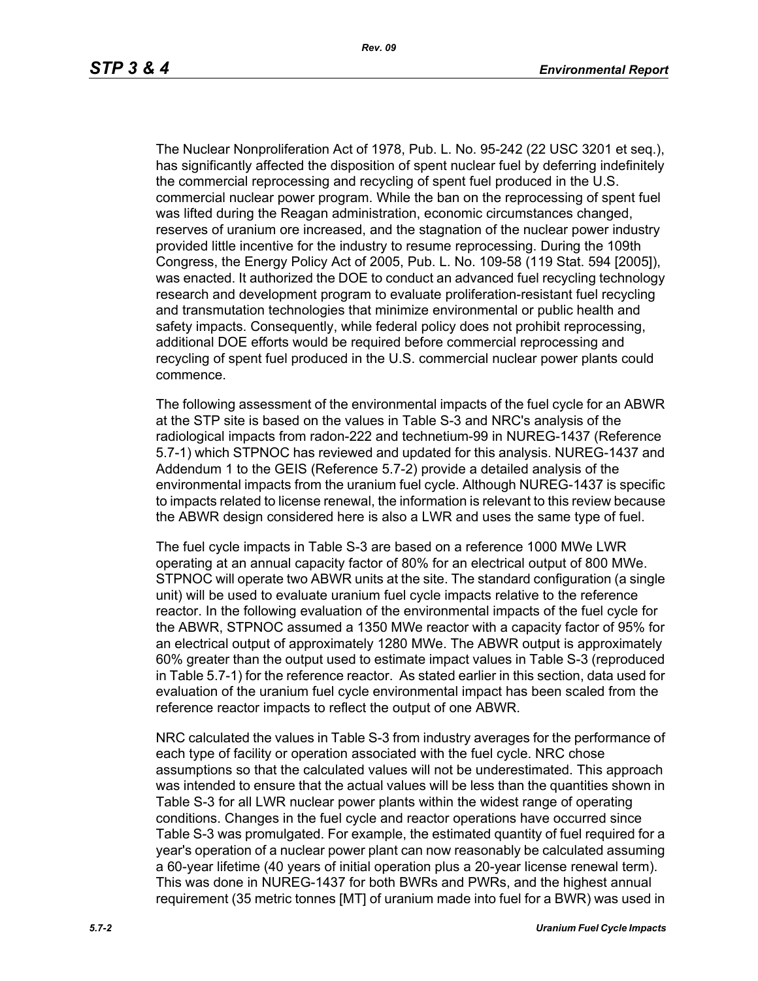The Nuclear Nonproliferation Act of 1978, Pub. L. No. 95-242 (22 USC 3201 et seq.), has significantly affected the disposition of spent nuclear fuel by deferring indefinitely the commercial reprocessing and recycling of spent fuel produced in the U.S. commercial nuclear power program. While the ban on the reprocessing of spent fuel was lifted during the Reagan administration, economic circumstances changed, reserves of uranium ore increased, and the stagnation of the nuclear power industry provided little incentive for the industry to resume reprocessing. During the 109th Congress, the Energy Policy Act of 2005, Pub. L. No. 109-58 (119 Stat. 594 [2005]), was enacted. It authorized the DOE to conduct an advanced fuel recycling technology research and development program to evaluate proliferation-resistant fuel recycling and transmutation technologies that minimize environmental or public health and safety impacts. Consequently, while federal policy does not prohibit reprocessing, additional DOE efforts would be required before commercial reprocessing and recycling of spent fuel produced in the U.S. commercial nuclear power plants could commence.

The following assessment of the environmental impacts of the fuel cycle for an ABWR at the STP site is based on the values in Table S-3 and NRC's analysis of the radiological impacts from radon-222 and technetium-99 in NUREG-1437 (Reference 5.7-1) which STPNOC has reviewed and updated for this analysis. NUREG-1437 and Addendum 1 to the GEIS (Reference 5.7-2) provide a detailed analysis of the environmental impacts from the uranium fuel cycle. Although NUREG-1437 is specific to impacts related to license renewal, the information is relevant to this review because the ABWR design considered here is also a LWR and uses the same type of fuel.

The fuel cycle impacts in Table S-3 are based on a reference 1000 MWe LWR operating at an annual capacity factor of 80% for an electrical output of 800 MWe. STPNOC will operate two ABWR units at the site. The standard configuration (a single unit) will be used to evaluate uranium fuel cycle impacts relative to the reference reactor. In the following evaluation of the environmental impacts of the fuel cycle for the ABWR, STPNOC assumed a 1350 MWe reactor with a capacity factor of 95% for an electrical output of approximately 1280 MWe. The ABWR output is approximately 60% greater than the output used to estimate impact values in Table S-3 (reproduced in Table 5.7-1) for the reference reactor. As stated earlier in this section, data used for evaluation of the uranium fuel cycle environmental impact has been scaled from the reference reactor impacts to reflect the output of one ABWR.

NRC calculated the values in Table S-3 from industry averages for the performance of each type of facility or operation associated with the fuel cycle. NRC chose assumptions so that the calculated values will not be underestimated. This approach was intended to ensure that the actual values will be less than the quantities shown in Table S-3 for all LWR nuclear power plants within the widest range of operating conditions. Changes in the fuel cycle and reactor operations have occurred since Table S-3 was promulgated. For example, the estimated quantity of fuel required for a year's operation of a nuclear power plant can now reasonably be calculated assuming a 60-year lifetime (40 years of initial operation plus a 20-year license renewal term). This was done in NUREG-1437 for both BWRs and PWRs, and the highest annual requirement (35 metric tonnes [MT] of uranium made into fuel for a BWR) was used in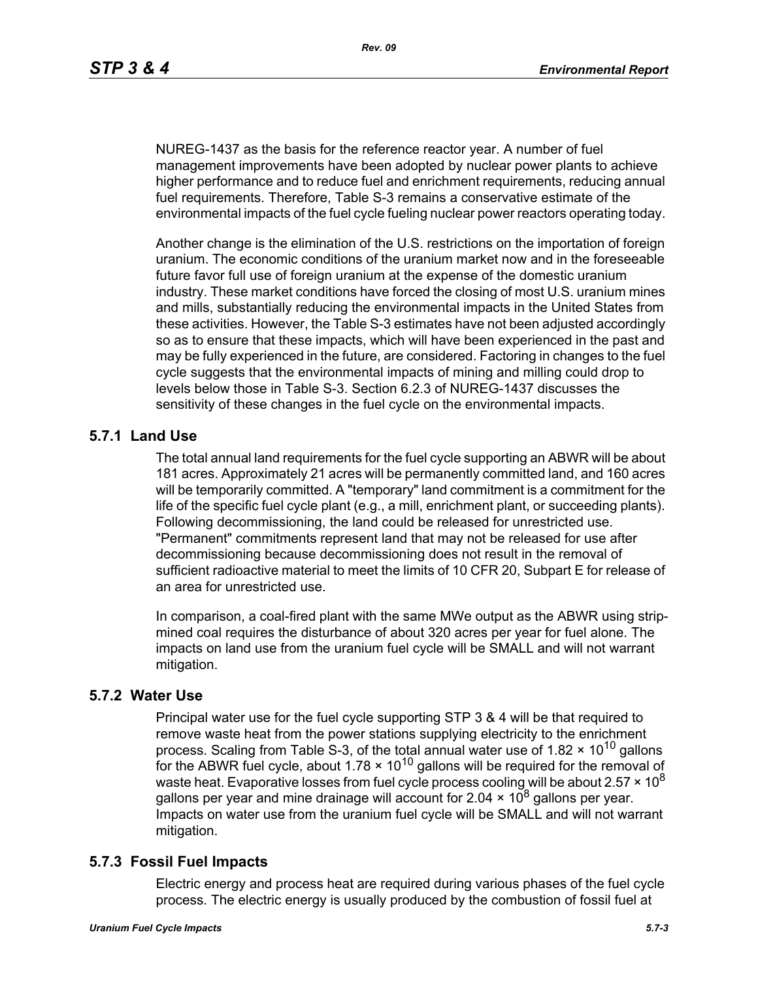NUREG-1437 as the basis for the reference reactor year. A number of fuel management improvements have been adopted by nuclear power plants to achieve higher performance and to reduce fuel and enrichment requirements, reducing annual fuel requirements. Therefore, Table S-3 remains a conservative estimate of the environmental impacts of the fuel cycle fueling nuclear power reactors operating today.

Another change is the elimination of the U.S. restrictions on the importation of foreign uranium. The economic conditions of the uranium market now and in the foreseeable future favor full use of foreign uranium at the expense of the domestic uranium industry. These market conditions have forced the closing of most U.S. uranium mines and mills, substantially reducing the environmental impacts in the United States from these activities. However, the Table S-3 estimates have not been adjusted accordingly so as to ensure that these impacts, which will have been experienced in the past and may be fully experienced in the future, are considered. Factoring in changes to the fuel cycle suggests that the environmental impacts of mining and milling could drop to levels below those in Table S-3. Section 6.2.3 of NUREG-1437 discusses the sensitivity of these changes in the fuel cycle on the environmental impacts.

# **5.7.1 Land Use**

The total annual land requirements for the fuel cycle supporting an ABWR will be about 181 acres. Approximately 21 acres will be permanently committed land, and 160 acres will be temporarily committed. A "temporary" land commitment is a commitment for the life of the specific fuel cycle plant (e.g., a mill, enrichment plant, or succeeding plants). Following decommissioning, the land could be released for unrestricted use. "Permanent" commitments represent land that may not be released for use after decommissioning because decommissioning does not result in the removal of sufficient radioactive material to meet the limits of 10 CFR 20, Subpart E for release of an area for unrestricted use.

In comparison, a coal-fired plant with the same MWe output as the ABWR using stripmined coal requires the disturbance of about 320 acres per year for fuel alone. The impacts on land use from the uranium fuel cycle will be SMALL and will not warrant mitigation.

### **5.7.2 Water Use**

Principal water use for the fuel cycle supporting STP 3 & 4 will be that required to remove waste heat from the power stations supplying electricity to the enrichment process. Scaling from Table S-3, of the total annual water use of 1.82  $\times$  10<sup>10</sup> gallons for the ABWR fuel cycle, about  $1.78 \times 10^{10}$  gallons will be required for the removal of waste heat. Evaporative losses from fuel cycle process cooling will be about 2.57  $\times$  10<sup>8</sup> gallons per year and mine drainage will account for 2.04  $\times$  10<sup>8</sup> gallons per year. Impacts on water use from the uranium fuel cycle will be SMALL and will not warrant mitigation.

### **5.7.3 Fossil Fuel Impacts**

Electric energy and process heat are required during various phases of the fuel cycle process. The electric energy is usually produced by the combustion of fossil fuel at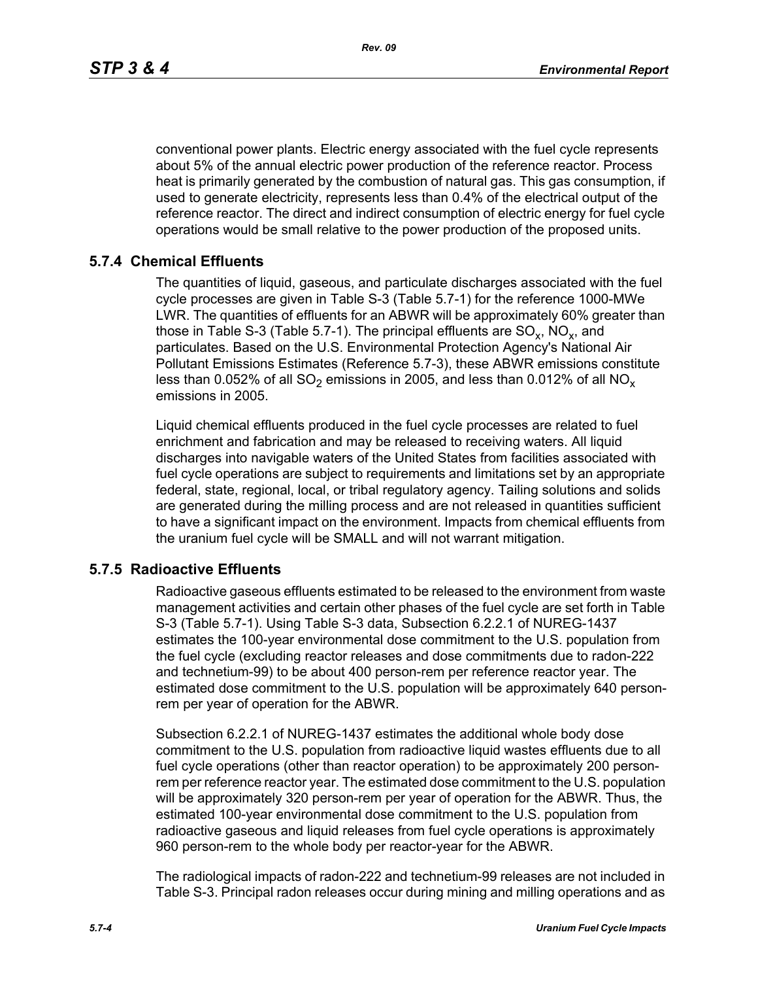*Rev. 09*

conventional power plants. Electric energy associated with the fuel cycle represents about 5% of the annual electric power production of the reference reactor. Process heat is primarily generated by the combustion of natural gas. This gas consumption, if used to generate electricity, represents less than 0.4% of the electrical output of the reference reactor. The direct and indirect consumption of electric energy for fuel cycle operations would be small relative to the power production of the proposed units.

## **5.7.4 Chemical Effluents**

The quantities of liquid, gaseous, and particulate discharges associated with the fuel cycle processes are given in Table S-3 (Table 5.7-1) for the reference 1000-MWe LWR. The quantities of effluents for an ABWR will be approximately 60% greater than those in Table S-3 (Table 5.7-1). The principal effluents are  $SO_x$ ,  $NO_x$ , and particulates. Based on the U.S. Environmental Protection Agency's National Air Pollutant Emissions Estimates (Reference 5.7-3), these ABWR emissions constitute less than 0.052% of all  $SO_2$  emissions in 2005, and less than 0.012% of all  $NO_x$ emissions in 2005.

Liquid chemical effluents produced in the fuel cycle processes are related to fuel enrichment and fabrication and may be released to receiving waters. All liquid discharges into navigable waters of the United States from facilities associated with fuel cycle operations are subject to requirements and limitations set by an appropriate federal, state, regional, local, or tribal regulatory agency. Tailing solutions and solids are generated during the milling process and are not released in quantities sufficient to have a significant impact on the environment. Impacts from chemical effluents from the uranium fuel cycle will be SMALL and will not warrant mitigation.

### **5.7.5 Radioactive Effluents**

Radioactive gaseous effluents estimated to be released to the environment from waste management activities and certain other phases of the fuel cycle are set forth in Table S-3 (Table 5.7-1). Using Table S-3 data, Subsection 6.2.2.1 of NUREG-1437 estimates the 100-year environmental dose commitment to the U.S. population from the fuel cycle (excluding reactor releases and dose commitments due to radon-222 and technetium-99) to be about 400 person-rem per reference reactor year. The estimated dose commitment to the U.S. population will be approximately 640 personrem per year of operation for the ABWR.

Subsection 6.2.2.1 of NUREG-1437 estimates the additional whole body dose commitment to the U.S. population from radioactive liquid wastes effluents due to all fuel cycle operations (other than reactor operation) to be approximately 200 personrem per reference reactor year. The estimated dose commitment to the U.S. population will be approximately 320 person-rem per year of operation for the ABWR. Thus, the estimated 100-year environmental dose commitment to the U.S. population from radioactive gaseous and liquid releases from fuel cycle operations is approximately 960 person-rem to the whole body per reactor-year for the ABWR.

The radiological impacts of radon-222 and technetium-99 releases are not included in Table S-3. Principal radon releases occur during mining and milling operations and as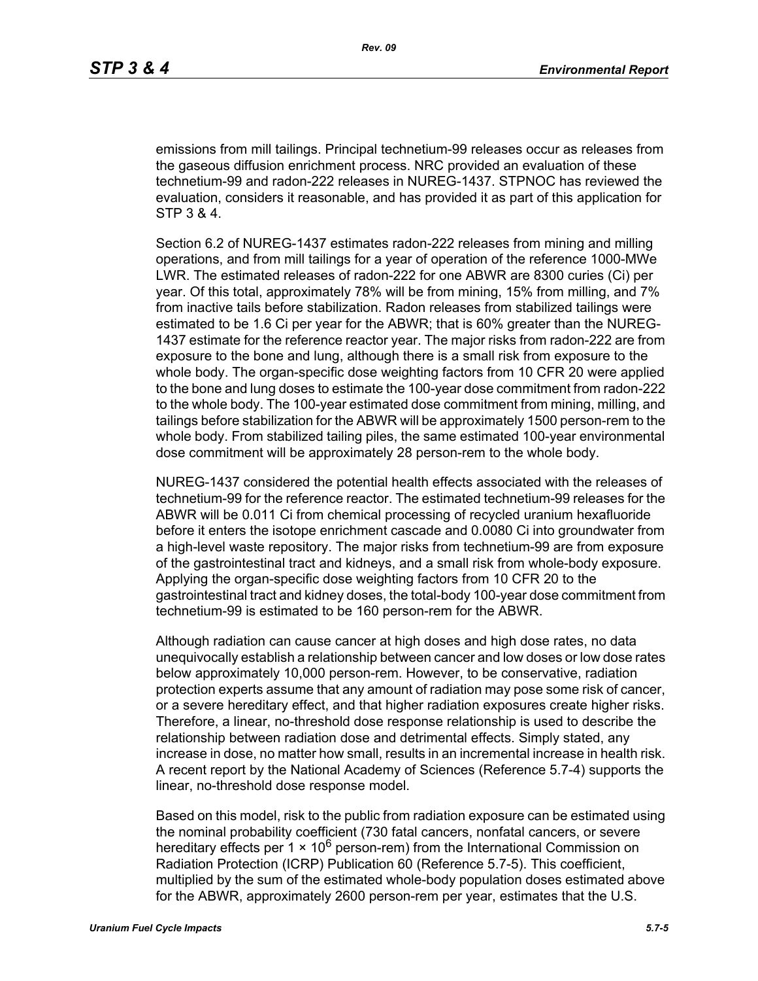emissions from mill tailings. Principal technetium-99 releases occur as releases from the gaseous diffusion enrichment process. NRC provided an evaluation of these technetium-99 and radon-222 releases in NUREG-1437. STPNOC has reviewed the evaluation, considers it reasonable, and has provided it as part of this application for STP 3 & 4.

Section 6.2 of NUREG-1437 estimates radon-222 releases from mining and milling operations, and from mill tailings for a year of operation of the reference 1000-MWe LWR. The estimated releases of radon-222 for one ABWR are 8300 curies (Ci) per year. Of this total, approximately 78% will be from mining, 15% from milling, and 7% from inactive tails before stabilization. Radon releases from stabilized tailings were estimated to be 1.6 Ci per year for the ABWR; that is 60% greater than the NUREG-1437 estimate for the reference reactor year. The major risks from radon-222 are from exposure to the bone and lung, although there is a small risk from exposure to the whole body. The organ-specific dose weighting factors from 10 CFR 20 were applied to the bone and lung doses to estimate the 100-year dose commitment from radon-222 to the whole body. The 100-year estimated dose commitment from mining, milling, and tailings before stabilization for the ABWR will be approximately 1500 person-rem to the whole body. From stabilized tailing piles, the same estimated 100-year environmental dose commitment will be approximately 28 person-rem to the whole body.

NUREG-1437 considered the potential health effects associated with the releases of technetium-99 for the reference reactor. The estimated technetium-99 releases for the ABWR will be 0.011 Ci from chemical processing of recycled uranium hexafluoride before it enters the isotope enrichment cascade and 0.0080 Ci into groundwater from a high-level waste repository. The major risks from technetium-99 are from exposure of the gastrointestinal tract and kidneys, and a small risk from whole-body exposure. Applying the organ-specific dose weighting factors from 10 CFR 20 to the gastrointestinal tract and kidney doses, the total-body 100-year dose commitment from technetium-99 is estimated to be 160 person-rem for the ABWR.

Although radiation can cause cancer at high doses and high dose rates, no data unequivocally establish a relationship between cancer and low doses or low dose rates below approximately 10,000 person-rem. However, to be conservative, radiation protection experts assume that any amount of radiation may pose some risk of cancer, or a severe hereditary effect, and that higher radiation exposures create higher risks. Therefore, a linear, no-threshold dose response relationship is used to describe the relationship between radiation dose and detrimental effects. Simply stated, any increase in dose, no matter how small, results in an incremental increase in health risk. A recent report by the National Academy of Sciences (Reference 5.7-4) supports the linear, no-threshold dose response model.

Based on this model, risk to the public from radiation exposure can be estimated using the nominal probability coefficient (730 fatal cancers, nonfatal cancers, or severe hereditary effects per 1  $\times$  10<sup>6</sup> person-rem) from the International Commission on Radiation Protection (ICRP) Publication 60 (Reference 5.7-5). This coefficient, multiplied by the sum of the estimated whole-body population doses estimated above for the ABWR, approximately 2600 person-rem per year, estimates that the U.S.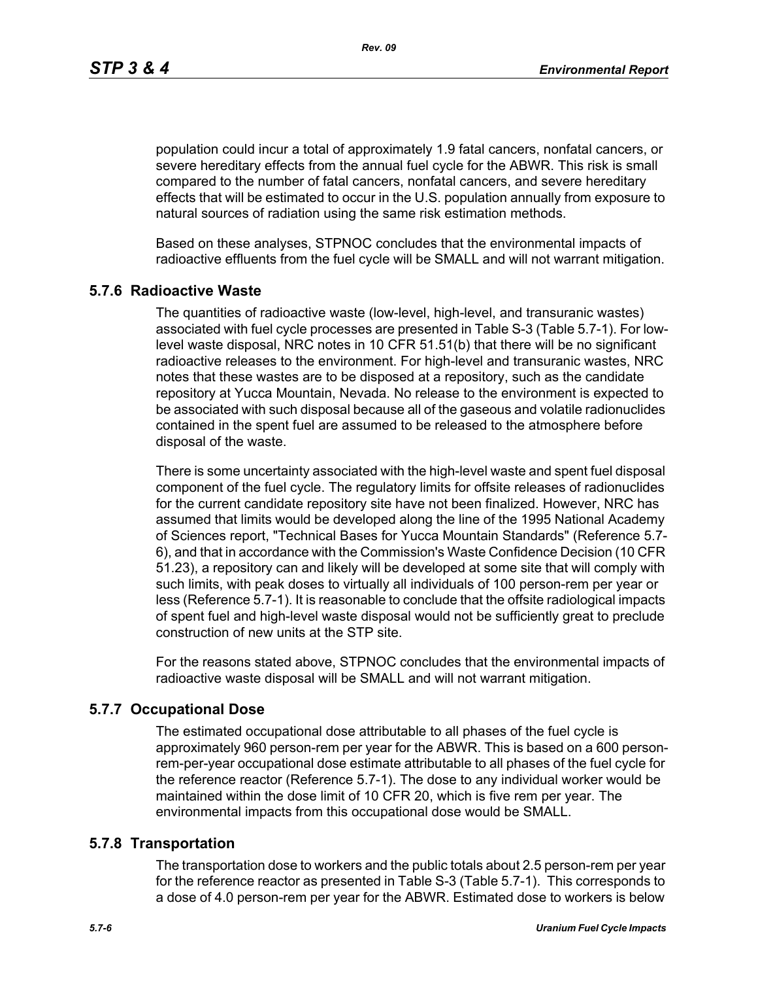*Rev. 09*

population could incur a total of approximately 1.9 fatal cancers, nonfatal cancers, or severe hereditary effects from the annual fuel cycle for the ABWR. This risk is small compared to the number of fatal cancers, nonfatal cancers, and severe hereditary effects that will be estimated to occur in the U.S. population annually from exposure to natural sources of radiation using the same risk estimation methods.

Based on these analyses, STPNOC concludes that the environmental impacts of radioactive effluents from the fuel cycle will be SMALL and will not warrant mitigation.

### **5.7.6 Radioactive Waste**

The quantities of radioactive waste (low-level, high-level, and transuranic wastes) associated with fuel cycle processes are presented in Table S-3 (Table 5.7-1). For lowlevel waste disposal, NRC notes in 10 CFR 51.51(b) that there will be no significant radioactive releases to the environment. For high-level and transuranic wastes, NRC notes that these wastes are to be disposed at a repository, such as the candidate repository at Yucca Mountain, Nevada. No release to the environment is expected to be associated with such disposal because all of the gaseous and volatile radionuclides contained in the spent fuel are assumed to be released to the atmosphere before disposal of the waste.

There is some uncertainty associated with the high-level waste and spent fuel disposal component of the fuel cycle. The regulatory limits for offsite releases of radionuclides for the current candidate repository site have not been finalized. However, NRC has assumed that limits would be developed along the line of the 1995 National Academy of Sciences report, "Technical Bases for Yucca Mountain Standards" (Reference 5.7- 6), and that in accordance with the Commission's Waste Confidence Decision (10 CFR 51.23), a repository can and likely will be developed at some site that will comply with such limits, with peak doses to virtually all individuals of 100 person-rem per year or less (Reference 5.7-1). It is reasonable to conclude that the offsite radiological impacts of spent fuel and high-level waste disposal would not be sufficiently great to preclude construction of new units at the STP site.

For the reasons stated above, STPNOC concludes that the environmental impacts of radioactive waste disposal will be SMALL and will not warrant mitigation.

#### **5.7.7 Occupational Dose**

The estimated occupational dose attributable to all phases of the fuel cycle is approximately 960 person-rem per year for the ABWR. This is based on a 600 personrem-per-year occupational dose estimate attributable to all phases of the fuel cycle for the reference reactor (Reference 5.7-1). The dose to any individual worker would be maintained within the dose limit of 10 CFR 20, which is five rem per year. The environmental impacts from this occupational dose would be SMALL.

#### **5.7.8 Transportation**

The transportation dose to workers and the public totals about 2.5 person-rem per year for the reference reactor as presented in Table S-3 (Table 5.7-1). This corresponds to a dose of 4.0 person-rem per year for the ABWR. Estimated dose to workers is below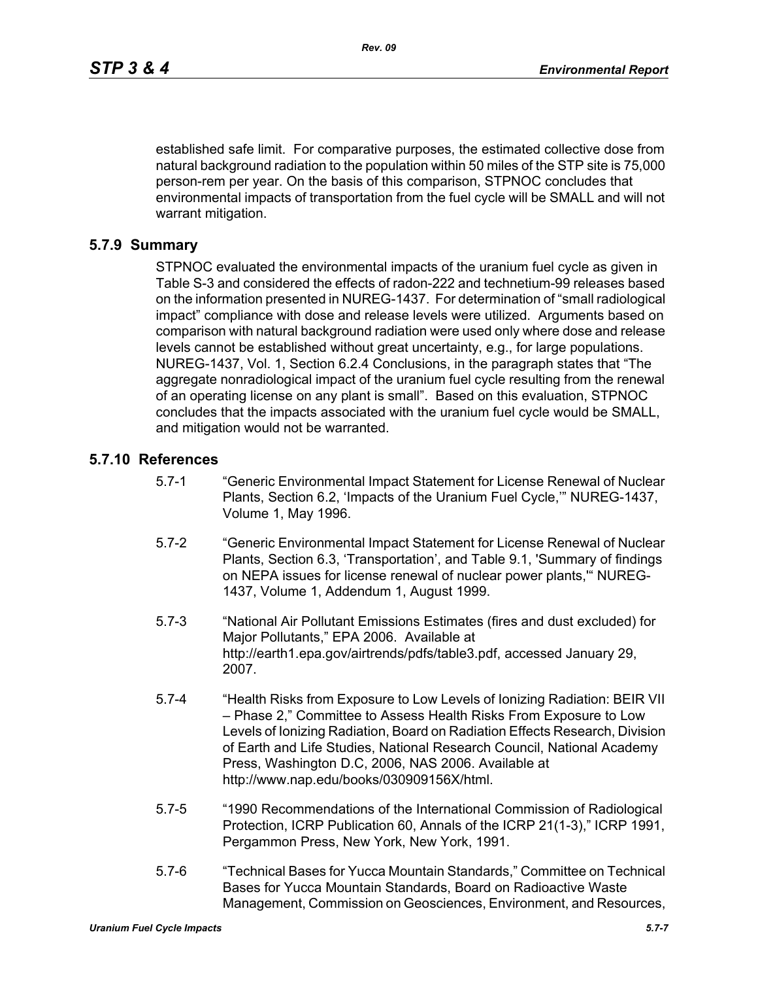established safe limit. For comparative purposes, the estimated collective dose from natural background radiation to the population within 50 miles of the STP site is 75,000 person-rem per year. On the basis of this comparison, STPNOC concludes that environmental impacts of transportation from the fuel cycle will be SMALL and will not warrant mitigation.

### **5.7.9 Summary**

STPNOC evaluated the environmental impacts of the uranium fuel cycle as given in Table S-3 and considered the effects of radon-222 and technetium-99 releases based on the information presented in NUREG-1437. For determination of "small radiological impact" compliance with dose and release levels were utilized. Arguments based on comparison with natural background radiation were used only where dose and release levels cannot be established without great uncertainty, e.g., for large populations. NUREG-1437, Vol. 1, Section 6.2.4 Conclusions, in the paragraph states that "The aggregate nonradiological impact of the uranium fuel cycle resulting from the renewal of an operating license on any plant is small". Based on this evaluation, STPNOC concludes that the impacts associated with the uranium fuel cycle would be SMALL, and mitigation would not be warranted.

#### **5.7.10 References**

- 5.7-1 "Generic Environmental Impact Statement for License Renewal of Nuclear Plants, Section 6.2, 'Impacts of the Uranium Fuel Cycle,'" NUREG-1437, Volume 1, May 1996.
- 5.7-2 "Generic Environmental Impact Statement for License Renewal of Nuclear Plants, Section 6.3, 'Transportation', and Table 9.1, 'Summary of findings on NEPA issues for license renewal of nuclear power plants,'" NUREG-1437, Volume 1, Addendum 1, August 1999.
- 5.7-3 "National Air Pollutant Emissions Estimates (fires and dust excluded) for Major Pollutants," EPA 2006. Available at http://earth1.epa.gov/airtrends/pdfs/table3.pdf, accessed January 29, 2007.
- 5.7-4 "Health Risks from Exposure to Low Levels of Ionizing Radiation: BEIR VII – Phase 2," Committee to Assess Health Risks From Exposure to Low Levels of Ionizing Radiation, Board on Radiation Effects Research, Division of Earth and Life Studies, National Research Council, National Academy Press, Washington D.C, 2006, NAS 2006. Available at http://www.nap.edu/books/030909156X/html.
- 5.7-5 "1990 Recommendations of the International Commission of Radiological Protection, ICRP Publication 60, Annals of the ICRP 21(1-3)," ICRP 1991, Pergammon Press, New York, New York, 1991.
- 5.7-6 "Technical Bases for Yucca Mountain Standards," Committee on Technical Bases for Yucca Mountain Standards, Board on Radioactive Waste Management, Commission on Geosciences, Environment, and Resources,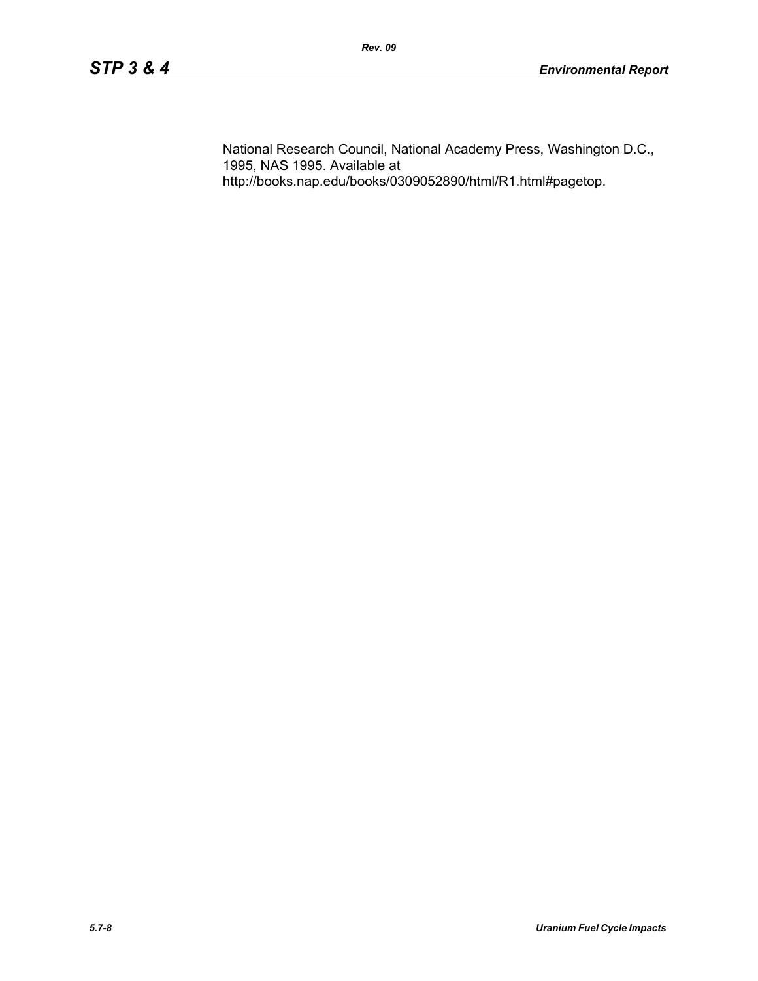National Research Council, National Academy Press, Washington D.C., 1995, NAS 1995. Available at http://books.nap.edu/books/0309052890/html/R1.html#pagetop.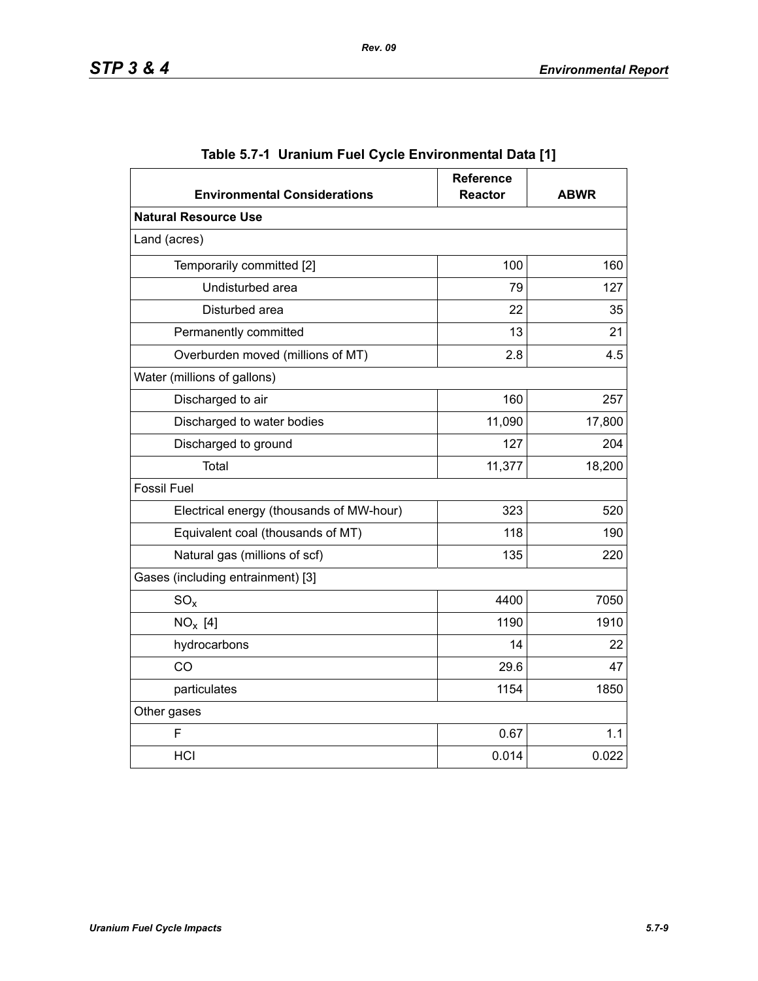| <b>Environmental Considerations</b>      | <b>Reference</b><br><b>Reactor</b> | <b>ABWR</b> |  |  |
|------------------------------------------|------------------------------------|-------------|--|--|
| <b>Natural Resource Use</b>              |                                    |             |  |  |
| Land (acres)                             |                                    |             |  |  |
| Temporarily committed [2]                | 100                                | 160         |  |  |
| Undisturbed area                         | 79                                 | 127         |  |  |
| Disturbed area                           | 22                                 | 35          |  |  |
| Permanently committed                    | 13                                 | 21          |  |  |
| Overburden moved (millions of MT)        | 2.8                                | 4.5         |  |  |
| Water (millions of gallons)              |                                    |             |  |  |
| Discharged to air                        | 160                                | 257         |  |  |
| Discharged to water bodies               | 11,090                             | 17,800      |  |  |
| Discharged to ground                     | 127                                | 204         |  |  |
| Total                                    | 11,377                             | 18,200      |  |  |
| <b>Fossil Fuel</b>                       |                                    |             |  |  |
| Electrical energy (thousands of MW-hour) | 323                                | 520         |  |  |
| Equivalent coal (thousands of MT)        | 118                                | 190         |  |  |
| Natural gas (millions of scf)            | 135                                | 220         |  |  |
| Gases (including entrainment) [3]        |                                    |             |  |  |
| $SO_{x}$                                 | 4400                               | 7050        |  |  |
| $NO_x$ [4]                               | 1190                               | 1910        |  |  |
| hydrocarbons                             | 14                                 | 22          |  |  |
| CO                                       | 29.6                               | 47          |  |  |
| particulates                             | 1154                               | 1850        |  |  |
| Other gases                              |                                    |             |  |  |
| F                                        | 0.67                               | 1.1         |  |  |
| HCI                                      | 0.014                              | 0.022       |  |  |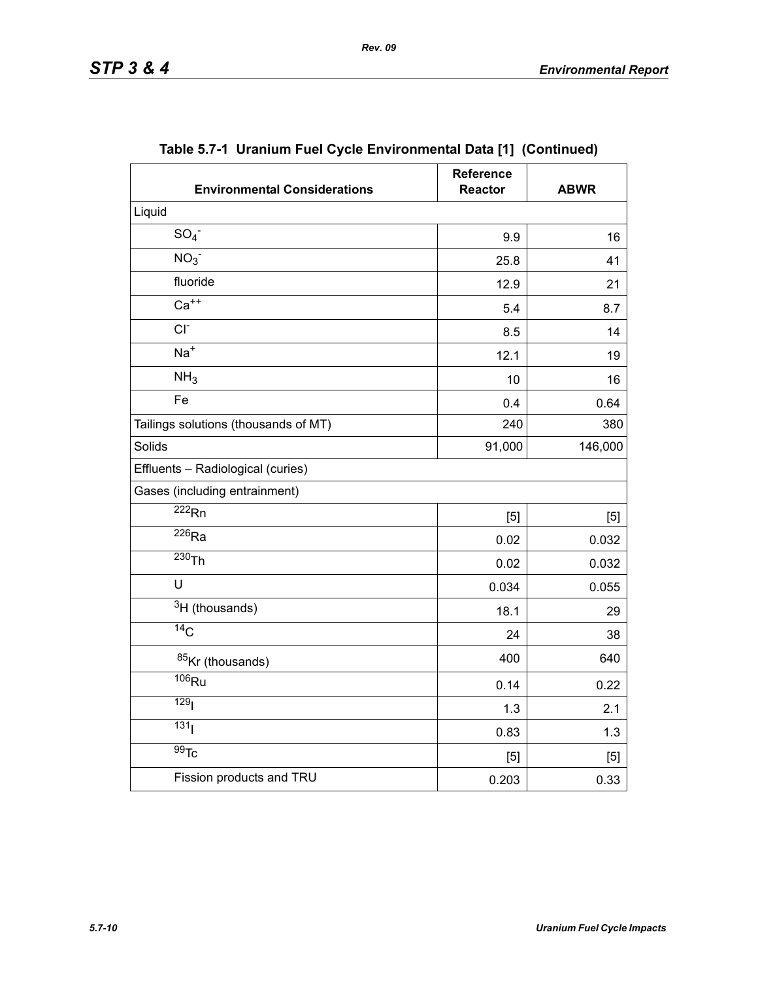| <b>Environmental Considerations</b>  | <b>Reference</b><br><b>Reactor</b> | <b>ABWR</b> |
|--------------------------------------|------------------------------------|-------------|
| Liquid                               |                                    |             |
| SO <sub>4</sub>                      | 9.9                                | 16          |
| NO <sub>3</sub>                      | 25.8                               | 41          |
| fluoride                             | 12.9<br>21                         |             |
| $Ca++$                               | 5.4<br>8.7                         |             |
| $CI-$                                | 8.5<br>14                          |             |
| $Na+$                                | 12.1                               | 19          |
| NH <sub>3</sub>                      | 10                                 | 16          |
| Fe                                   | 0.4                                | 0.64        |
| Tailings solutions (thousands of MT) | 240                                | 380         |
| Solids                               | 91,000                             | 146,000     |
| Effluents - Radiological (curies)    |                                    |             |
| Gases (including entrainment)        |                                    |             |
| $\overline{222}$ <sub>Rn</sub>       | [5]                                | [5]         |
| $\overline{^{226}}$ Ra               | 0.02                               | 0.032       |
| $230$ Th                             | 0.02                               | 0.032       |
| U                                    | 0.034                              | 0.055       |
| $3H$ (thousands)                     | 18.1                               | 29          |
| $\overline{^{14}C}$                  | 24                                 | 38          |
| 85Kr (thousands)                     | 400                                | 640         |
| $106$ Ru                             | 0.14                               | 0.22        |
| 129 <sub>l</sub>                     | 1.3                                | 2.1         |
| 131 <sub>1</sub>                     | 0.83                               | 1.3         |
| $\overline{99}$ Tc                   | [5]                                | $[5]$       |
| Fission products and TRU             | 0.203                              | 0.33        |